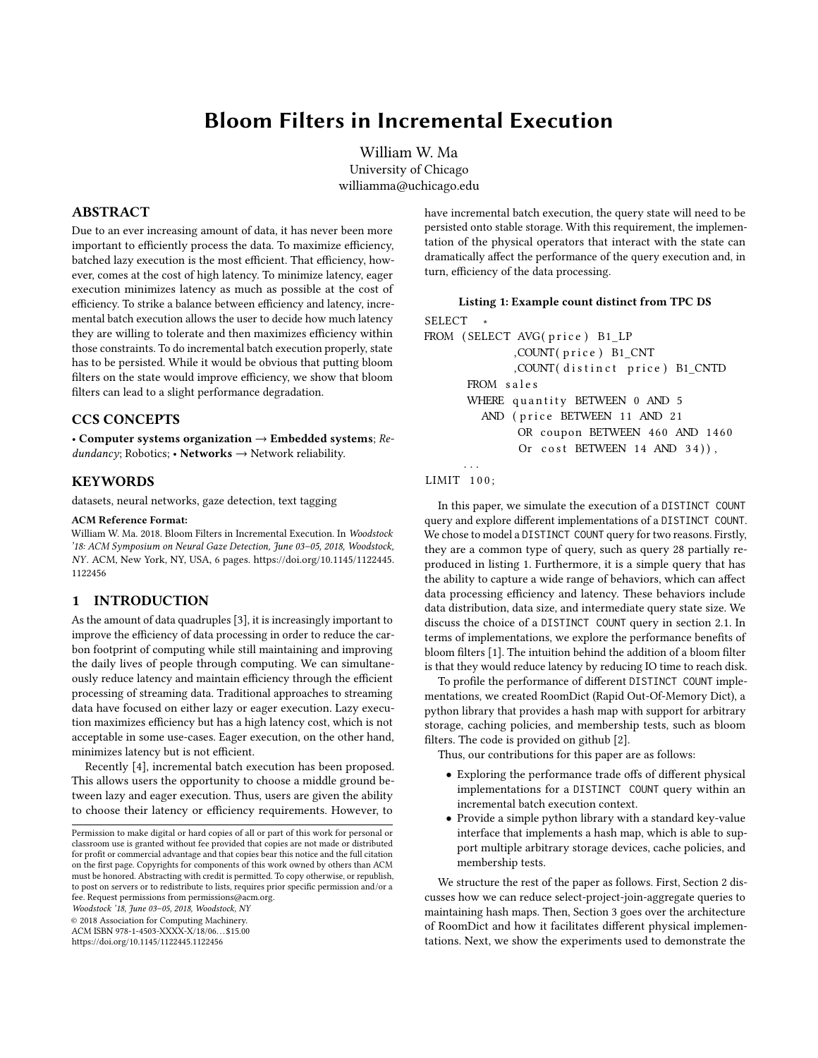# Bloom Filters in Incremental Execution

William W. Ma University of Chicago williamma@uchicago.edu

# ABSTRACT

Due to an ever increasing amount of data, it has never been more important to efficiently process the data. To maximize efficiency, batched lazy execution is the most efficient. That efficiency, however, comes at the cost of high latency. To minimize latency, eager execution minimizes latency as much as possible at the cost of efficiency. To strike a balance between efficiency and latency, incremental batch execution allows the user to decide how much latency they are willing to tolerate and then maximizes efficiency within those constraints. To do incremental batch execution properly, state has to be persisted. While it would be obvious that putting bloom filters on the state would improve efficiency, we show that bloom filters can lead to a slight performance degradation.

# CCS CONCEPTS

• Computer systems organization  $\rightarrow$  Embedded systems; Re $dundancy$ ; Robotics; • Networks  $\rightarrow$  Network reliability.

#### **KEYWORDS**

datasets, neural networks, gaze detection, text tagging

## ACM Reference Format:

William W. Ma. 2018. Bloom Filters in Incremental Execution. In Woodstock '18: ACM Symposium on Neural Gaze Detection, June 03–05, 2018, Woodstock, NY. ACM, New York, NY, USA, [6](#page-5-0) pages. [https://doi.org/10.1145/1122445.](https://doi.org/10.1145/1122445.1122456) [1122456](https://doi.org/10.1145/1122445.1122456)

## 1 INTRODUCTION

As the amount of data quadruples [\[3\]](#page-5-1), it is increasingly important to improve the efficiency of data processing in order to reduce the carbon footprint of computing while still maintaining and improving the daily lives of people through computing. We can simultaneously reduce latency and maintain efficiency through the efficient processing of streaming data. Traditional approaches to streaming data have focused on either lazy or eager execution. Lazy execution maximizes efficiency but has a high latency cost, which is not acceptable in some use-cases. Eager execution, on the other hand, minimizes latency but is not efficient.

Recently [\[4\]](#page-5-2), incremental batch execution has been proposed. This allows users the opportunity to choose a middle ground between lazy and eager execution. Thus, users are given the ability to choose their latency or efficiency requirements. However, to

Woodstock '18, June 03–05, 2018, Woodstock, NY

© 2018 Association for Computing Machinery.

ACM ISBN 978-1-4503-XXXX-X/18/06. . . \$15.00 <https://doi.org/10.1145/1122445.1122456>

have incremental batch execution, the query state will need to be persisted onto stable storage. With this requirement, the implementation of the physical operators that interact with the state can dramatically affect the performance of the query execution and, in turn, efficiency of the data processing.

#### Listing 1: Example count distinct from TPC DS

```
SELECT
FROM (SELECT AVG(price) B1_LP
            , COUNT(price) B1_CNT
            , COUNT(distinct price) B1_CNTD
      FROM sales
      WHERE quantity BETWEEN 0 AND 5
        AND (price BETWEEN 11 AND 21
             OR coupon BETWEEN 460 AND 1460
             Or cost BETWEEN 14 AND 34),
```
#### LIMIT 100;

. . .

In this paper, we simulate the execution of a DISTINCT COUNT query and explore different implementations of a DISTINCT COUNT. We chose to model a DISTINCT COUNT query for two reasons. Firstly, they are a common type of query, such as query 28 partially reproduced in listing [1.](#page-0-0) Furthermore, it is a simple query that has the ability to capture a wide range of behaviors, which can affect data processing efficiency and latency. These behaviors include data distribution, data size, and intermediate query state size. We discuss the choice of a DISTINCT COUNT query in section [2.1.](#page-1-0) In terms of implementations, we explore the performance benefits of bloom filters [\[1\]](#page-5-3). The intuition behind the addition of a bloom filter is that they would reduce latency by reducing IO time to reach disk.

To profile the performance of different DISTINCT COUNT implementations, we created RoomDict (Rapid Out-Of-Memory Dict), a python library that provides a hash map with support for arbitrary storage, caching policies, and membership tests, such as bloom filters. The code is provided on github [\[2\]](#page-5-4).

Thus, our contributions for this paper are as follows:

- Exploring the performance trade offs of different physical implementations for a DISTINCT COUNT query within an incremental batch execution context.
- Provide a simple python library with a standard key-value interface that implements a hash map, which is able to support multiple arbitrary storage devices, cache policies, and membership tests.

We structure the rest of the paper as follows. First, Section [2](#page-1-1) discusses how we can reduce select-project-join-aggregate queries to maintaining hash maps. Then, Section [3](#page-2-0) goes over the architecture of RoomDict and how it facilitates different physical implementations. Next, we show the experiments used to demonstrate the

Permission to make digital or hard copies of all or part of this work for personal or classroom use is granted without fee provided that copies are not made or distributed for profit or commercial advantage and that copies bear this notice and the full citation on the first page. Copyrights for components of this work owned by others than ACM must be honored. Abstracting with credit is permitted. To copy otherwise, or republish, to post on servers or to redistribute to lists, requires prior specific permission and/or a fee. Request permissions from permissions@acm.org.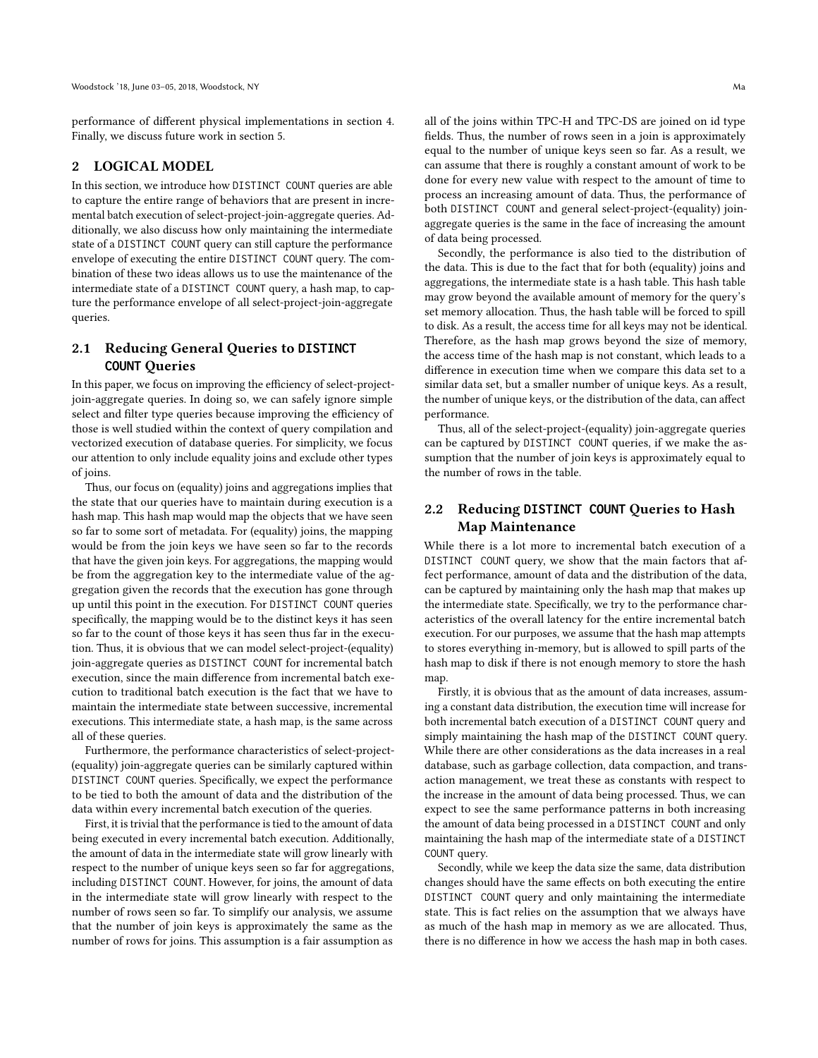performance of different physical implementations in section [4.](#page-3-0) Finally, we discuss future work in section [5.](#page-4-0)

## <span id="page-1-1"></span>2 LOGICAL MODEL

In this section, we introduce how DISTINCT COUNT queries are able to capture the entire range of behaviors that are present in incremental batch execution of select-project-join-aggregate queries. Additionally, we also discuss how only maintaining the intermediate state of a DISTINCT COUNT query can still capture the performance envelope of executing the entire DISTINCT COUNT query. The combination of these two ideas allows us to use the maintenance of the intermediate state of a DISTINCT COUNT query, a hash map, to capture the performance envelope of all select-project-join-aggregate queries.

# <span id="page-1-0"></span>2.1 Reducing General Queries to **DISTINCT COUNT** Queries

In this paper, we focus on improving the efficiency of select-projectjoin-aggregate queries. In doing so, we can safely ignore simple select and filter type queries because improving the efficiency of those is well studied within the context of query compilation and vectorized execution of database queries. For simplicity, we focus our attention to only include equality joins and exclude other types of joins.

Thus, our focus on (equality) joins and aggregations implies that the state that our queries have to maintain during execution is a hash map. This hash map would map the objects that we have seen so far to some sort of metadata. For (equality) joins, the mapping would be from the join keys we have seen so far to the records that have the given join keys. For aggregations, the mapping would be from the aggregation key to the intermediate value of the aggregation given the records that the execution has gone through up until this point in the execution. For DISTINCT COUNT queries specifically, the mapping would be to the distinct keys it has seen so far to the count of those keys it has seen thus far in the execution. Thus, it is obvious that we can model select-project-(equality) join-aggregate queries as DISTINCT COUNT for incremental batch execution, since the main difference from incremental batch execution to traditional batch execution is the fact that we have to maintain the intermediate state between successive, incremental executions. This intermediate state, a hash map, is the same across all of these queries.

Furthermore, the performance characteristics of select-project- (equality) join-aggregate queries can be similarly captured within DISTINCT COUNT queries. Specifically, we expect the performance to be tied to both the amount of data and the distribution of the data within every incremental batch execution of the queries.

First, it is trivial that the performance is tied to the amount of data being executed in every incremental batch execution. Additionally, the amount of data in the intermediate state will grow linearly with respect to the number of unique keys seen so far for aggregations, including DISTINCT COUNT. However, for joins, the amount of data in the intermediate state will grow linearly with respect to the number of rows seen so far. To simplify our analysis, we assume that the number of join keys is approximately the same as the number of rows for joins. This assumption is a fair assumption as

all of the joins within TPC-H and TPC-DS are joined on id type fields. Thus, the number of rows seen in a join is approximately equal to the number of unique keys seen so far. As a result, we can assume that there is roughly a constant amount of work to be done for every new value with respect to the amount of time to process an increasing amount of data. Thus, the performance of both DISTINCT COUNT and general select-project-(equality) joinaggregate queries is the same in the face of increasing the amount of data being processed.

Secondly, the performance is also tied to the distribution of the data. This is due to the fact that for both (equality) joins and aggregations, the intermediate state is a hash table. This hash table may grow beyond the available amount of memory for the query's set memory allocation. Thus, the hash table will be forced to spill to disk. As a result, the access time for all keys may not be identical. Therefore, as the hash map grows beyond the size of memory, the access time of the hash map is not constant, which leads to a difference in execution time when we compare this data set to a similar data set, but a smaller number of unique keys. As a result, the number of unique keys, or the distribution of the data, can affect performance.

Thus, all of the select-project-(equality) join-aggregate queries can be captured by DISTINCT COUNT queries, if we make the assumption that the number of join keys is approximately equal to the number of rows in the table.

# 2.2 Reducing **DISTINCT COUNT** Queries to Hash Map Maintenance

While there is a lot more to incremental batch execution of a DISTINCT COUNT query, we show that the main factors that affect performance, amount of data and the distribution of the data, can be captured by maintaining only the hash map that makes up the intermediate state. Specifically, we try to the performance characteristics of the overall latency for the entire incremental batch execution. For our purposes, we assume that the hash map attempts to stores everything in-memory, but is allowed to spill parts of the hash map to disk if there is not enough memory to store the hash map.

Firstly, it is obvious that as the amount of data increases, assuming a constant data distribution, the execution time will increase for both incremental batch execution of a DISTINCT COUNT query and simply maintaining the hash map of the DISTINCT COUNT query. While there are other considerations as the data increases in a real database, such as garbage collection, data compaction, and transaction management, we treat these as constants with respect to the increase in the amount of data being processed. Thus, we can expect to see the same performance patterns in both increasing the amount of data being processed in a DISTINCT COUNT and only maintaining the hash map of the intermediate state of a DISTINCT COUNT query.

Secondly, while we keep the data size the same, data distribution changes should have the same effects on both executing the entire DISTINCT COUNT query and only maintaining the intermediate state. This is fact relies on the assumption that we always have as much of the hash map in memory as we are allocated. Thus, there is no difference in how we access the hash map in both cases.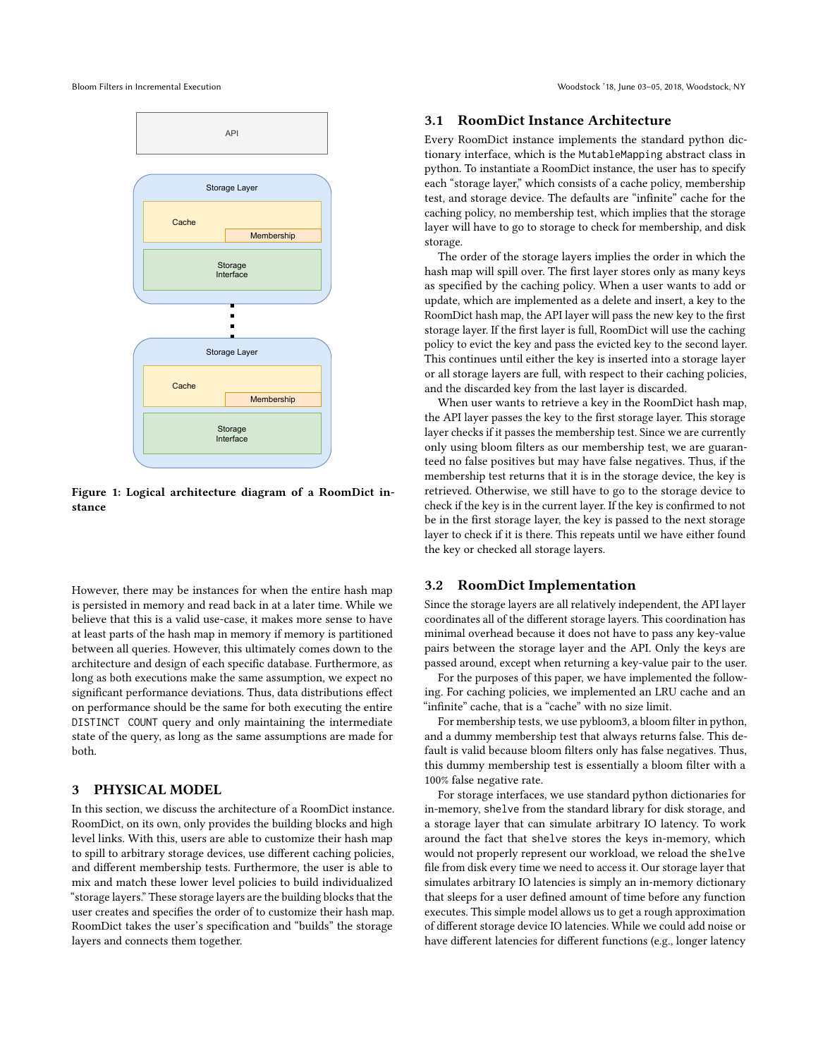

Figure 1: Logical architecture diagram of a RoomDict instance

However, there may be instances for when the entire hash map is persisted in memory and read back in at a later time. While we believe that this is a valid use-case, it makes more sense to have at least parts of the hash map in memory if memory is partitioned between all queries. However, this ultimately comes down to the architecture and design of each specific database. Furthermore, as long as both executions make the same assumption, we expect no significant performance deviations. Thus, data distributions effect on performance should be the same for both executing the entire DISTINCT COUNT query and only maintaining the intermediate state of the query, as long as the same assumptions are made for both.

## <span id="page-2-0"></span>3 PHYSICAL MODEL

In this section, we discuss the architecture of a RoomDict instance. RoomDict, on its own, only provides the building blocks and high level links. With this, users are able to customize their hash map to spill to arbitrary storage devices, use different caching policies, and different membership tests. Furthermore, the user is able to mix and match these lower level policies to build individualized "storage layers." These storage layers are the building blocks that the user creates and specifies the order of to customize their hash map. RoomDict takes the user's specification and "builds" the storage layers and connects them together.

## 3.1 RoomDict Instance Architecture

Every RoomDict instance implements the standard python dictionary interface, which is the MutableMapping abstract class in python. To instantiate a RoomDict instance, the user has to specify each "storage layer," which consists of a cache policy, membership test, and storage device. The defaults are "infinite" cache for the caching policy, no membership test, which implies that the storage layer will have to go to storage to check for membership, and disk storage.

The order of the storage layers implies the order in which the hash map will spill over. The first layer stores only as many keys as specified by the caching policy. When a user wants to add or update, which are implemented as a delete and insert, a key to the RoomDict hash map, the API layer will pass the new key to the first storage layer. If the first layer is full, RoomDict will use the caching policy to evict the key and pass the evicted key to the second layer. This continues until either the key is inserted into a storage layer or all storage layers are full, with respect to their caching policies, and the discarded key from the last layer is discarded.

When user wants to retrieve a key in the RoomDict hash map, the API layer passes the key to the first storage layer. This storage layer checks if it passes the membership test. Since we are currently only using bloom filters as our membership test, we are guaranteed no false positives but may have false negatives. Thus, if the membership test returns that it is in the storage device, the key is retrieved. Otherwise, we still have to go to the storage device to check if the key is in the current layer. If the key is confirmed to not be in the first storage layer, the key is passed to the next storage layer to check if it is there. This repeats until we have either found the key or checked all storage layers.

#### <span id="page-2-1"></span>3.2 RoomDict Implementation

Since the storage layers are all relatively independent, the API layer coordinates all of the different storage layers. This coordination has minimal overhead because it does not have to pass any key-value pairs between the storage layer and the API. Only the keys are passed around, except when returning a key-value pair to the user.

For the purposes of this paper, we have implemented the following. For caching policies, we implemented an LRU cache and an "infinite" cache, that is a "cache" with no size limit.

For membership tests, we use pybloom3, a bloom filter in python, and a dummy membership test that always returns false. This default is valid because bloom filters only has false negatives. Thus, this dummy membership test is essentially a bloom filter with a 100% false negative rate.

For storage interfaces, we use standard python dictionaries for in-memory, shelve from the standard library for disk storage, and a storage layer that can simulate arbitrary IO latency. To work around the fact that shelve stores the keys in-memory, which would not properly represent our workload, we reload the shelve file from disk every time we need to access it. Our storage layer that simulates arbitrary IO latencies is simply an in-memory dictionary that sleeps for a user defined amount of time before any function executes. This simple model allows us to get a rough approximation of different storage device IO latencies. While we could add noise or have different latencies for different functions (e.g., longer latency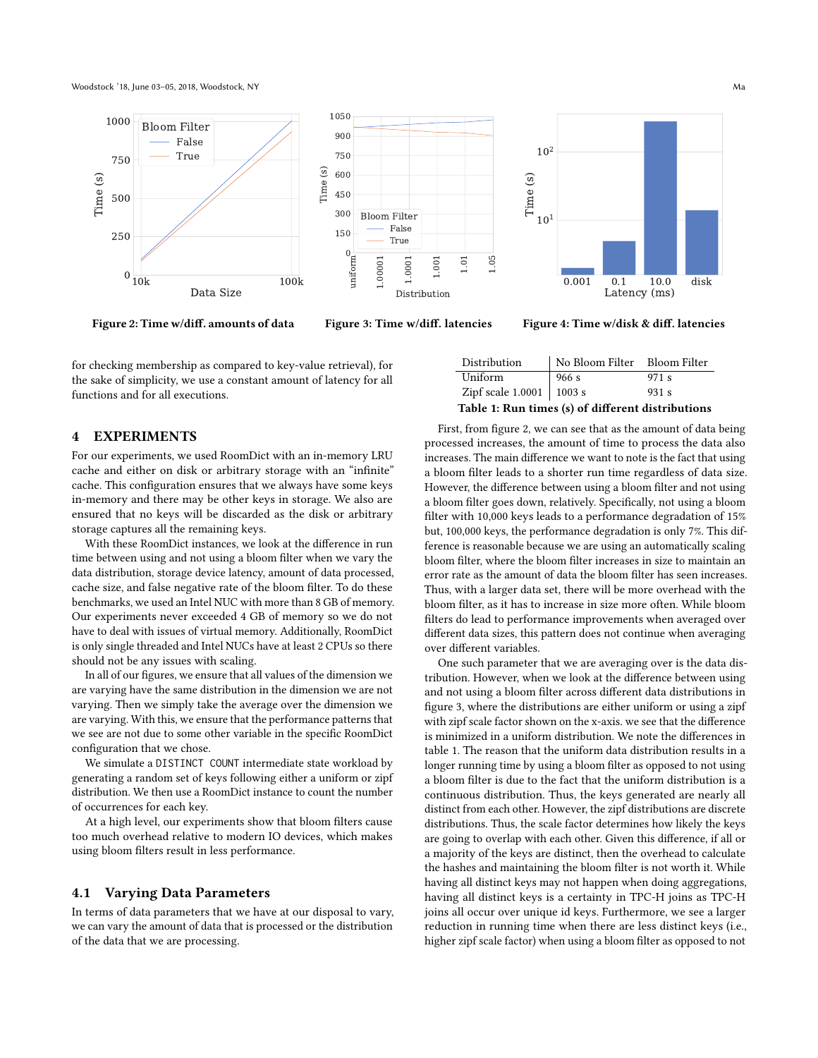Woodstock '18, June 03–05, 2018, Woodstock, NY Ma

<span id="page-3-1"></span>

Figure 2: Time w/diff. amounts of data

Figure 3: Time w/diff. latencies

Figure 4: Time w/disk & diff. latencies

for checking membership as compared to key-value retrieval), for the sake of simplicity, we use a constant amount of latency for all functions and for all executions.

## <span id="page-3-0"></span>4 EXPERIMENTS

For our experiments, we used RoomDict with an in-memory LRU cache and either on disk or arbitrary storage with an "infinite" cache. This configuration ensures that we always have some keys in-memory and there may be other keys in storage. We also are ensured that no keys will be discarded as the disk or arbitrary storage captures all the remaining keys.

With these RoomDict instances, we look at the difference in run time between using and not using a bloom filter when we vary the data distribution, storage device latency, amount of data processed, cache size, and false negative rate of the bloom filter. To do these benchmarks, we used an Intel NUC with more than 8 GB of memory. Our experiments never exceeded 4 GB of memory so we do not have to deal with issues of virtual memory. Additionally, RoomDict is only single threaded and Intel NUCs have at least 2 CPUs so there should not be any issues with scaling.

In all of our figures, we ensure that all values of the dimension we are varying have the same distribution in the dimension we are not varying. Then we simply take the average over the dimension we are varying. With this, we ensure that the performance patterns that we see are not due to some other variable in the specific RoomDict configuration that we chose.

We simulate a DISTINCT COUNT intermediate state workload by generating a random set of keys following either a uniform or zipf distribution. We then use a RoomDict instance to count the number of occurrences for each key.

At a high level, our experiments show that bloom filters cause too much overhead relative to modern IO devices, which makes using bloom filters result in less performance.

#### 4.1 Varying Data Parameters

In terms of data parameters that we have at our disposal to vary, we can vary the amount of data that is processed or the distribution of the data that we are processing.

<span id="page-3-2"></span>

| Distribution                                      | No Bloom Filter Bloom Filter |       |
|---------------------------------------------------|------------------------------|-------|
| Uniform                                           | 966 s                        | 971 s |
| Zipf scale $1.0001$   1003 s                      |                              | 931 s |
| Table 1: Run times (s) of different distributions |                              |       |

First, from figure [2,](#page-3-1) we can see that as the amount of data being processed increases, the amount of time to process the data also increases. The main difference we want to note is the fact that using a bloom filter leads to a shorter run time regardless of data size. However, the difference between using a bloom filter and not using a bloom filter goes down, relatively. Specifically, not using a bloom filter with 10,000 keys leads to a performance degradation of 15% but, 100,000 keys, the performance degradation is only 7%. This difference is reasonable because we are using an automatically scaling bloom filter, where the bloom filter increases in size to maintain an error rate as the amount of data the bloom filter has seen increases. Thus, with a larger data set, there will be more overhead with the bloom filter, as it has to increase in size more often. While bloom filters do lead to performance improvements when averaged over different data sizes, this pattern does not continue when averaging over different variables.

One such parameter that we are averaging over is the data distribution. However, when we look at the difference between using and not using a bloom filter across different data distributions in figure [3,](#page-3-1) where the distributions are either uniform or using a zipf with zipf scale factor shown on the x-axis. we see that the difference is minimized in a uniform distribution. We note the differences in table [1.](#page-3-2) The reason that the uniform data distribution results in a longer running time by using a bloom filter as opposed to not using a bloom filter is due to the fact that the uniform distribution is a continuous distribution. Thus, the keys generated are nearly all distinct from each other. However, the zipf distributions are discrete distributions. Thus, the scale factor determines how likely the keys are going to overlap with each other. Given this difference, if all or a majority of the keys are distinct, then the overhead to calculate the hashes and maintaining the bloom filter is not worth it. While having all distinct keys may not happen when doing aggregations, having all distinct keys is a certainty in TPC-H joins as TPC-H joins all occur over unique id keys. Furthermore, we see a larger reduction in running time when there are less distinct keys (i.e., higher zipf scale factor) when using a bloom filter as opposed to not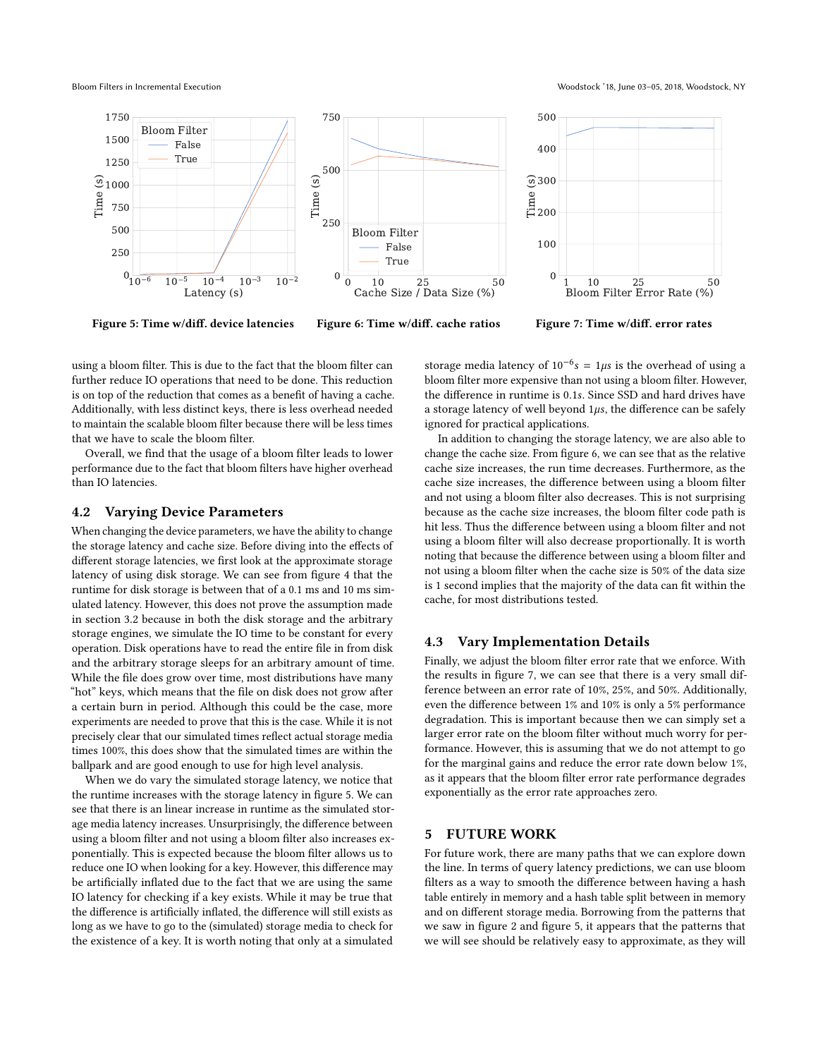<span id="page-4-1"></span>

Figure 5: Time w/diff. device latencies

Figure 6: Time w/diff. cache ratios

Figure 7: Time w/diff. error rates

using a bloom filter. This is due to the fact that the bloom filter can further reduce IO operations that need to be done. This reduction is on top of the reduction that comes as a benefit of having a cache. Additionally, with less distinct keys, there is less overhead needed to maintain the scalable bloom filter because there will be less times that we have to scale the bloom filter.

Overall, we find that the usage of a bloom filter leads to lower performance due to the fact that bloom filters have higher overhead than IO latencies.

#### 4.2 Varying Device Parameters

When changing the device parameters, we have the ability to change the storage latency and cache size. Before diving into the effects of different storage latencies, we first look at the approximate storage latency of using disk storage. We can see from figure [4](#page-3-1) that the runtime for disk storage is between that of a 0.1 ms and 10 ms simulated latency. However, this does not prove the assumption made in section [3.2](#page-2-1) because in both the disk storage and the arbitrary storage engines, we simulate the IO time to be constant for every operation. Disk operations have to read the entire file in from disk and the arbitrary storage sleeps for an arbitrary amount of time. While the file does grow over time, most distributions have many "hot" keys, which means that the file on disk does not grow after a certain burn in period. Although this could be the case, more experiments are needed to prove that this is the case. While it is not precisely clear that our simulated times reflect actual storage media times 100%, this does show that the simulated times are within the ballpark and are good enough to use for high level analysis.

When we do vary the simulated storage latency, we notice that the runtime increases with the storage latency in figure [5.](#page-4-1) We can see that there is an linear increase in runtime as the simulated storage media latency increases. Unsurprisingly, the difference between using a bloom filter and not using a bloom filter also increases exponentially. This is expected because the bloom filter allows us to reduce one IO when looking for a key. However, this difference may be artificially inflated due to the fact that we are using the same IO latency for checking if a key exists. While it may be true that the difference is artificially inflated, the difference will still exists as long as we have to go to the (simulated) storage media to check for the existence of a key. It is worth noting that only at a simulated

storage media latency of  $10^{-6}$ s = 1 $\mu$ s is the overhead of using a bloom filter more expensive than not using a bloom filter. However, the difference in runtime is 0.1s. Since SSD and hard drives have a storage latency of well beyond  $1\mu s$ , the difference can be safely ignored for practical applications.

In addition to changing the storage latency, we are also able to change the cache size. From figure [6,](#page-4-1) we can see that as the relative cache size increases, the run time decreases. Furthermore, as the cache size increases, the difference between using a bloom filter and not using a bloom filter also decreases. This is not surprising because as the cache size increases, the bloom filter code path is hit less. Thus the difference between using a bloom filter and not using a bloom filter will also decrease proportionally. It is worth noting that because the difference between using a bloom filter and not using a bloom filter when the cache size is 50% of the data size is 1 second implies that the majority of the data can fit within the cache, for most distributions tested.

#### 4.3 Vary Implementation Details

Finally, we adjust the bloom filter error rate that we enforce. With the results in figure [7,](#page-4-1) we can see that there is a very small difference between an error rate of 10%, 25%, and 50%. Additionally, even the difference between 1% and 10% is only a 5% performance degradation. This is important because then we can simply set a larger error rate on the bloom filter without much worry for performance. However, this is assuming that we do not attempt to go for the marginal gains and reduce the error rate down below 1%, as it appears that the bloom filter error rate performance degrades exponentially as the error rate approaches zero.

## <span id="page-4-0"></span>5 FUTURE WORK

For future work, there are many paths that we can explore down the line. In terms of query latency predictions, we can use bloom filters as a way to smooth the difference between having a hash table entirely in memory and a hash table split between in memory and on different storage media. Borrowing from the patterns that we saw in figure [2](#page-3-1) and figure [5,](#page-4-1) it appears that the patterns that we will see should be relatively easy to approximate, as they will